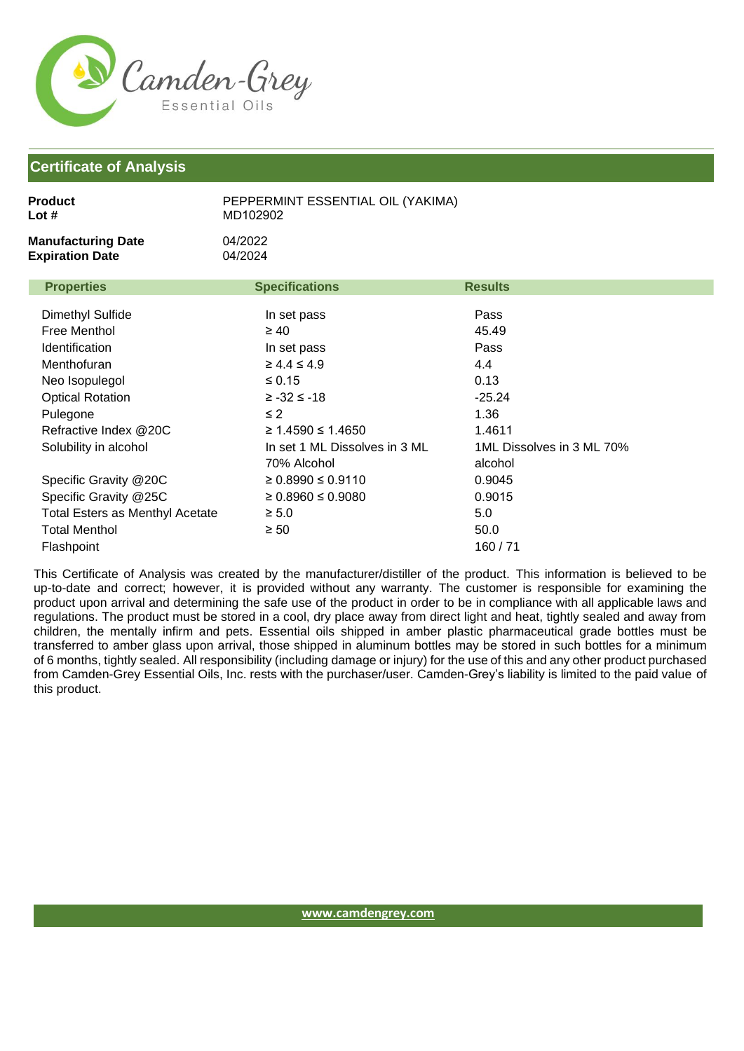

Flashpoint

| <b>Product</b><br>Lot #                             | PEPPERMINT ESSENTIAL OIL (YAKIMA)<br>MD102902 |                                      |  |
|-----------------------------------------------------|-----------------------------------------------|--------------------------------------|--|
| <b>Manufacturing Date</b><br><b>Expiration Date</b> | 04/2022<br>04/2024                            |                                      |  |
| <b>Properties</b>                                   | <b>Specifications</b>                         | <b>Results</b>                       |  |
| Dimethyl Sulfide                                    | In set pass                                   | Pass                                 |  |
| Free Menthol                                        | $\geq 40$                                     | 45.49                                |  |
| Identification                                      | In set pass                                   | Pass                                 |  |
| Menthofuran                                         | $\geq 4.4 \leq 4.9$                           | 4.4                                  |  |
| Neo Isopulegol                                      | $\leq 0.15$                                   | 0.13                                 |  |
| <b>Optical Rotation</b>                             | $≥ -32 ≤ -18$                                 | $-25.24$                             |  |
| Pulegone                                            | $\leq$ 2                                      | 1.36                                 |  |
| Refractive Index @20C                               | ≥ 1.4590 ≤ 1.4650                             | 1.4611                               |  |
| Solubility in alcohol                               | In set 1 ML Dissolves in 3 ML<br>70% Alcohol  | 1ML Dissolves in 3 ML 70%<br>alcohol |  |
| Specific Gravity @20C                               | $\geq 0.8990 \leq 0.9110$                     | 0.9045                               |  |
| Specific Gravity @25C                               | $\geq 0.8960 \leq 0.9080$                     | 0.9015                               |  |
| <b>Total Esters as Menthyl Acetate</b>              | $\geq 5.0$                                    | 5.0                                  |  |
| <b>Total Menthol</b>                                | $\geq 50$                                     | 50.0                                 |  |

This Certificate of Analysis was created by the manufacturer/distiller of the product. This information is believed to be up-to-date and correct; however, it is provided without any warranty. The customer is responsible for examining the product upon arrival and determining the safe use of the product in order to be in compliance with all applicable laws and regulations. The product must be stored in a cool, dry place away from direct light and heat, tightly sealed and away from children, the mentally infirm and pets. Essential oils shipped in amber plastic pharmaceutical grade bottles must be transferred to amber glass upon arrival, those shipped in aluminum bottles may be stored in such bottles for a minimum of 6 months, tightly sealed. All responsibility (including damage or injury) for the use of this and any other product purchased from Camden-Grey Essential Oils, Inc. rests with the purchaser/user. Camden-Grey's liability is limited to the paid value of this product.

160 / 71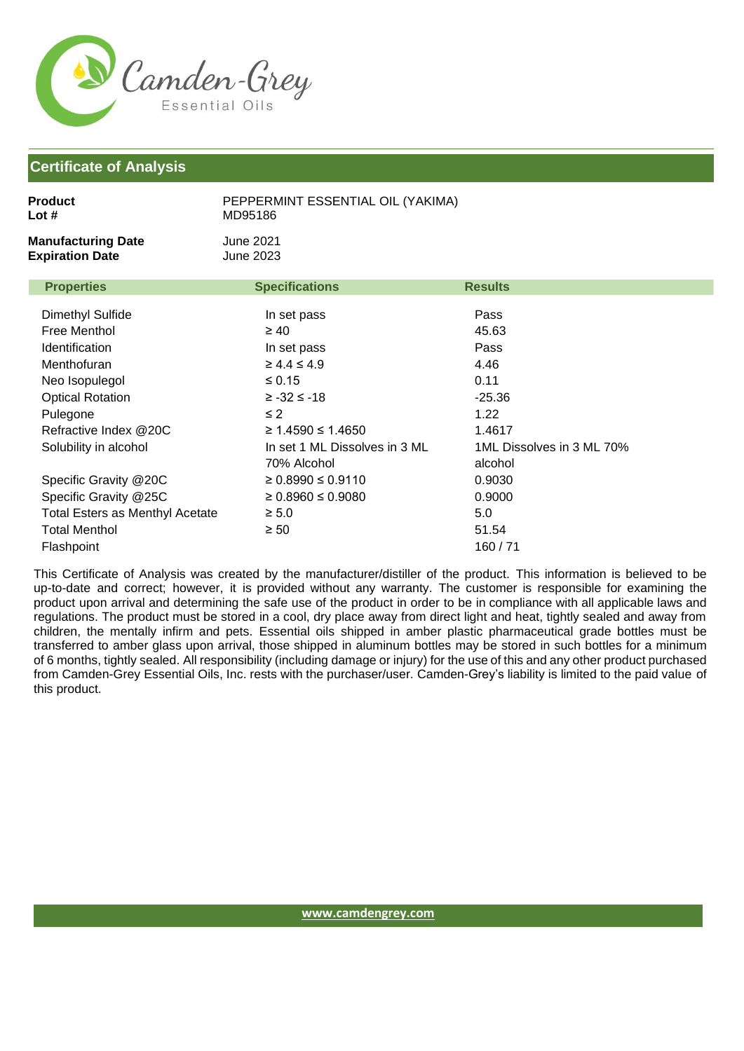

| <b>Product</b><br>Lot #                                                                                                                                                      | PEPPERMINT ESSENTIAL OIL (YAKIMA)<br>MD95186                                                                                                                                    |                                                                                                             |
|------------------------------------------------------------------------------------------------------------------------------------------------------------------------------|---------------------------------------------------------------------------------------------------------------------------------------------------------------------------------|-------------------------------------------------------------------------------------------------------------|
| <b>Manufacturing Date</b><br><b>Expiration Date</b>                                                                                                                          | <b>June 2021</b><br><b>June 2023</b>                                                                                                                                            |                                                                                                             |
| <b>Properties</b>                                                                                                                                                            | <b>Specifications</b>                                                                                                                                                           | <b>Results</b>                                                                                              |
| Dimethyl Sulfide<br>Free Menthol<br>Identification<br>Menthofuran<br>Neo Isopulegol<br><b>Optical Rotation</b><br>Pulegone<br>Refractive Index @20C<br>Solubility in alcohol | In set pass<br>$\geq 40$<br>In set pass<br>$\geq 4.4 \leq 4.9$<br>$\leq 0.15$<br>$≥ -32 ≤ -18$<br>$\leq$ 2<br>≥ 1.4590 ≤ 1.4650<br>In set 1 ML Dissolves in 3 ML<br>70% Alcohol | Pass<br>45.63<br>Pass<br>4.46<br>0.11<br>$-25.36$<br>1.22<br>1.4617<br>1ML Dissolves in 3 ML 70%<br>alcohol |
| Specific Gravity @20C<br>Specific Gravity @25C<br><b>Total Esters as Menthyl Acetate</b><br><b>Total Menthol</b><br>Flashpoint                                               | $\geq 0.8990 \leq 0.9110$<br>$\geq 0.8960 \leq 0.9080$<br>$\geq 5.0$<br>$\geq 50$                                                                                               | 0.9030<br>0.9000<br>5.0<br>51.54<br>160/71                                                                  |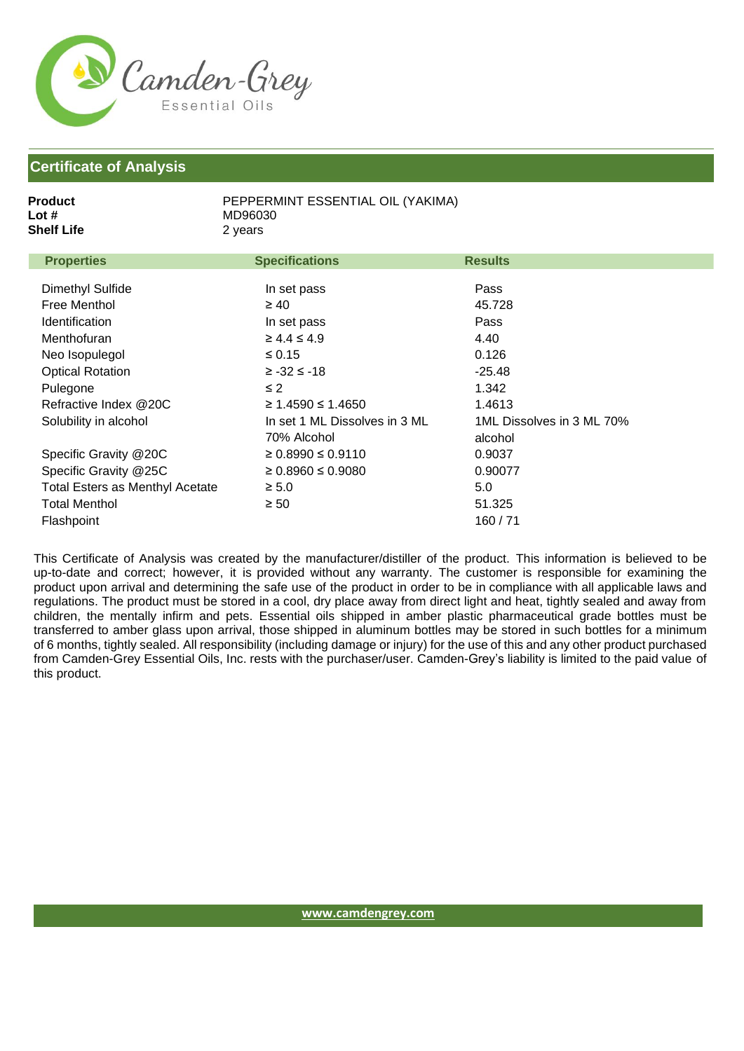

| 2 years<br><b>Properties</b><br><b>Specifications</b><br><b>Results</b><br>Dimethyl Sulfide<br>Pass<br>In set pass<br>Free Menthol<br>$\geq 40$<br>45.728<br><b>Identification</b><br>Pass<br>In set pass<br>$\geq 4.4 \leq 4.9$<br>4.40<br>Menthofuran |  |
|---------------------------------------------------------------------------------------------------------------------------------------------------------------------------------------------------------------------------------------------------------|--|
|                                                                                                                                                                                                                                                         |  |
|                                                                                                                                                                                                                                                         |  |
|                                                                                                                                                                                                                                                         |  |
|                                                                                                                                                                                                                                                         |  |
|                                                                                                                                                                                                                                                         |  |
|                                                                                                                                                                                                                                                         |  |
| $\leq 0.15$<br>0.126<br>Neo Isopulegol                                                                                                                                                                                                                  |  |
| <b>Optical Rotation</b><br>$-25.48$<br>$≥ -32 ≤ -18$                                                                                                                                                                                                    |  |
| $\leq$ 2<br>1.342<br>Pulegone                                                                                                                                                                                                                           |  |
| Refractive Index @20C<br>≥ 1.4590 ≤ 1.4650<br>1.4613                                                                                                                                                                                                    |  |
| In set 1 ML Dissolves in 3 ML<br>1ML Dissolves in 3 ML 70%<br>Solubility in alcohol                                                                                                                                                                     |  |
| 70% Alcohol<br>alcohol                                                                                                                                                                                                                                  |  |
| Specific Gravity @20C<br>$\geq 0.8990 \leq 0.9110$<br>0.9037                                                                                                                                                                                            |  |
| Specific Gravity @25C<br>$\geq 0.8960 \leq 0.9080$<br>0.90077                                                                                                                                                                                           |  |
| <b>Total Esters as Menthyl Acetate</b><br>5.0<br>$\geq 5.0$                                                                                                                                                                                             |  |
| <b>Total Menthol</b><br>$\geq 50$<br>51.325                                                                                                                                                                                                             |  |
| 160/71<br>Flashpoint                                                                                                                                                                                                                                    |  |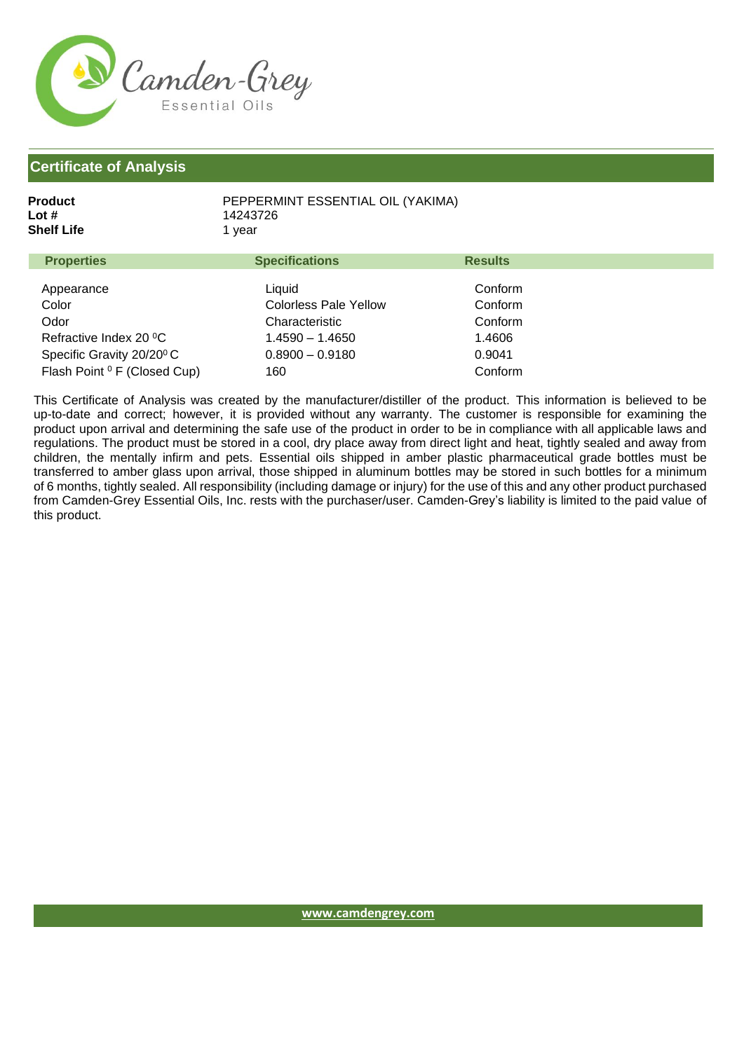

| Product    | PEPPERMINT ESSENTIAL OIL (YAKIMA) |
|------------|-----------------------------------|
| Lot #      | 14243726                          |
| Shelf Life | 1 vear                            |
|            |                                   |

| <b>Properties</b>                       | <b>Specifications</b>        | <b>Results</b> |  |
|-----------------------------------------|------------------------------|----------------|--|
| Appearance                              | Liquid                       | Conform        |  |
| Color                                   | <b>Colorless Pale Yellow</b> | Conform        |  |
| Odor                                    | Characteristic               | Conform        |  |
| Refractive Index 20 °C                  | $1.4590 - 1.4650$            | 1.4606         |  |
| Specific Gravity 20/20 <sup>°</sup> C   | $0.8900 - 0.9180$            | 0.9041         |  |
| Flash Point <sup>0</sup> F (Closed Cup) | 160                          | Conform        |  |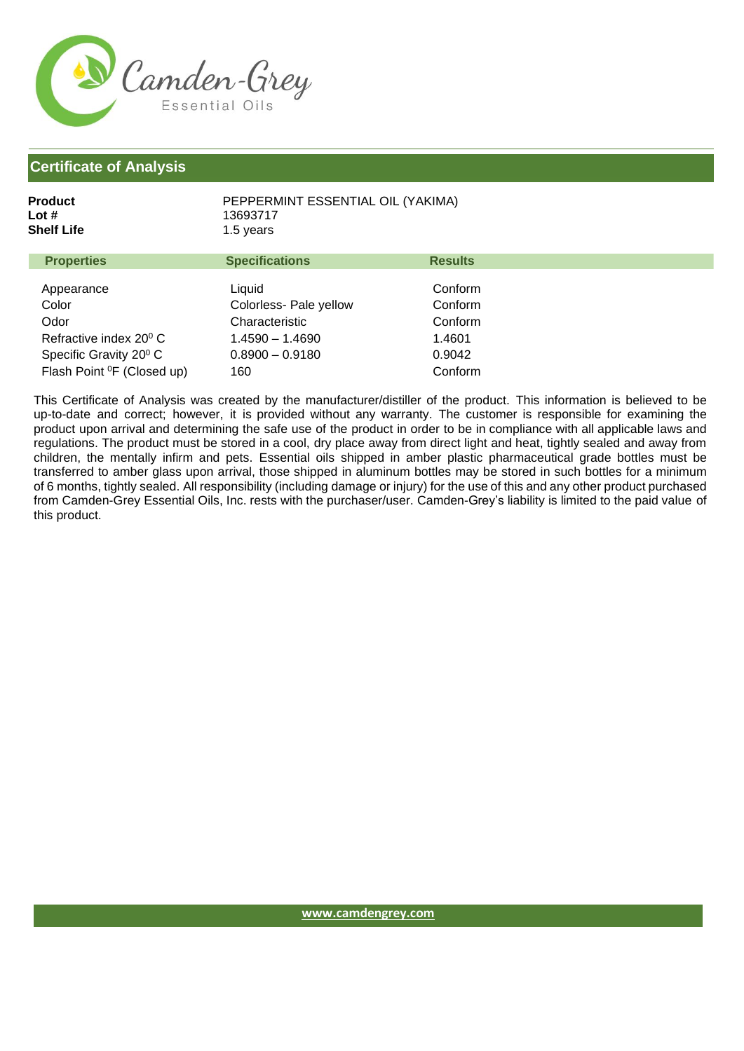

Refractive index 20<sup>0</sup> C

Odor

| Product           | PEPPERMINT ESSENTIAL OIL (YAKIMA) |                |
|-------------------|-----------------------------------|----------------|
| Lot #             | 13693717                          |                |
| Shelf Life        | 1.5 years                         |                |
| <b>Properties</b> | <b>Specifications</b>             | <b>Results</b> |
| Appearance        | Liquid                            | Conform        |
| Color             | Colorless- Pale yellow            | Conform        |

Characteristic 1.4590 – 1.4690

Specific Gravity 20<sup>0</sup> C Flash Point <sup>o</sup>F (Closed up) 0.8900 – 0.9180 160 0.9042 Conform This Certificate of Analysis was created by the manufacturer/distiller of the product. This information is believed to be up-to-date and correct; however, it is provided without any warranty. The customer is responsible for examining the product upon arrival and determining the safe use of the product in order to be in compliance with all applicable laws and regulations. The product must be stored in a cool, dry place away from direct light and heat, tightly sealed and away from children, the mentally infirm and pets. Essential oils shipped in amber plastic pharmaceutical grade bottles must be transferred to amber glass upon arrival, those shipped in aluminum bottles may be stored in such bottles for a minimum of 6 months, tightly sealed. All responsibility (including damage or injury) for the use of this and any other product purchased from Camden-Grey Essential Oils, Inc. rests with the purchaser/user. Camden-Grey's liability is limited to the paid value of this product.

Conform 1.4601